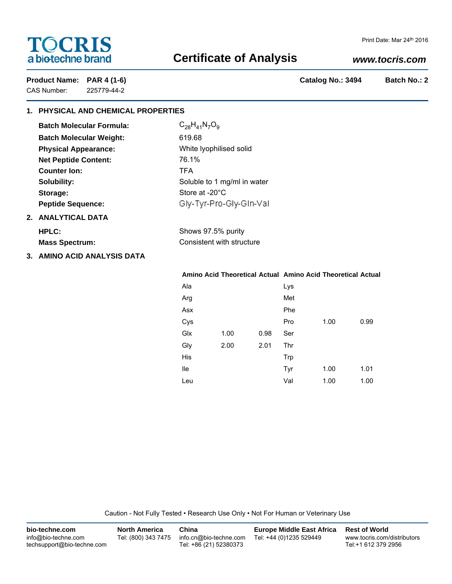# **TOCRIS** a biotechne brand

# **Certificate of Analysis**

## *www.tocris.com*

CAS Number: 225779-44-2

Product Name: PAR 4 (1-6) **Product Name: PAR 4 (1-6) Catalog No.: 3494** Batch No.: 2

# **1. PHYSICAL AND CHEMICAL PROPERTIES**

| <b>Batch Molecular Formula:</b> | $C_{28}H_{41}N_7O_9$        |
|---------------------------------|-----------------------------|
| <b>Batch Molecular Weight:</b>  | 619.68                      |
| <b>Physical Appearance:</b>     | White Iyophilised solid     |
| <b>Net Peptide Content:</b>     | 76.1%                       |
| Counter Ion:                    | <b>TFA</b>                  |
| Solubility:                     | Soluble to 1 mg/ml in water |
| Storage:                        | Store at $-20^{\circ}$ C    |
| <b>Peptide Sequence:</b>        | Gly-Tyr-Pro-Gly-Gin-Val     |
| 2. ANALYTICAL DATA              |                             |
| HPLC:                           | Shows 97.5% purity          |
| <b>Mass Spectrum:</b>           | Consistent with structure   |
|                                 |                             |

**3. AMINO ACID ANALYSIS DATA**

### **Amino Acid Theoretical Actual Amino Acid Theoretical Actual**

| Ala |      |      | Lys        |      |      |
|-----|------|------|------------|------|------|
| Arg |      |      | Met        |      |      |
| Asx |      |      | Phe        |      |      |
| Cys |      |      | Pro        | 1.00 | 0.99 |
| Glx | 1.00 | 0.98 | Ser        |      |      |
| Gly | 2.00 | 2.01 | Thr        |      |      |
| His |      |      | <b>Trp</b> |      |      |
| lle |      |      | Tyr        | 1.00 | 1.01 |
| Leu |      |      | Val        | 1.00 | 1.00 |

Caution - Not Fully Tested • Research Use Only • Not For Human or Veterinary Use

| bio-techne.com                                    | <b>North America</b> | China                                            | <b>Europe Middle East Africa</b> | <b>Rest of World</b>                               |
|---------------------------------------------------|----------------------|--------------------------------------------------|----------------------------------|----------------------------------------------------|
| info@bio-techne.com<br>techsupport@bio-techne.com | Tel: (800) 343 7475  | info.cn@bio-techne.com<br>Tel: +86 (21) 52380373 | Tel: +44 (0)1235 529449          | www.tocris.com/distributors<br>Tel:+1 612 379 2956 |